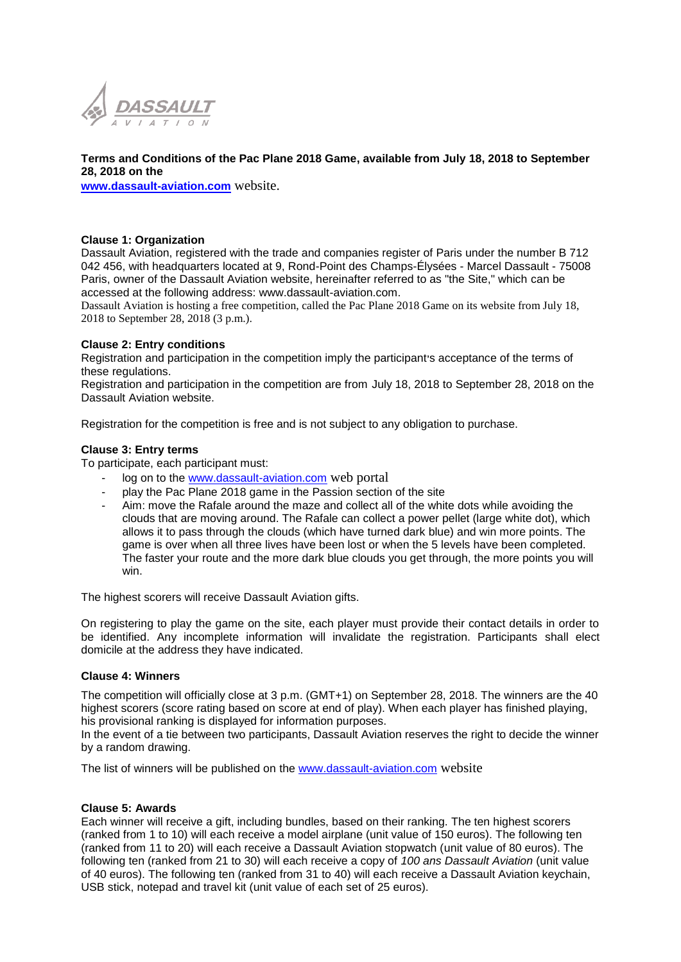

#### **Terms and Conditions of the Pac Plane 2018 Game, available from July 18, 2018 to September 28, 2018 on the**

**[www.dassault-aviation.com](http://www.dassault-aviation.com/)** website.

## **Clause 1: Organization**

Dassault Aviation, registered with the trade and companies register of Paris under the number B 712 042 456, with headquarters located at 9, Rond-Point des Champs-Élysées - Marcel Dassault - 75008 Paris, owner of the Dassault Aviation website, hereinafter referred to as "the Site," which can be accessed at the following address: www.dassault-aviation.com.

Dassault Aviation is hosting a free competition, called the Pac Plane 2018 Game on its website from July 18, 2018 to September 28, 2018 (3 p.m.).

# **Clause 2: Entry conditions**

Registration and participation in the competition imply the participant**'**s acceptance of the terms of these regulations.

Registration and participation in the competition are from July 18, 2018 to September 28, 2018 on the Dassault Aviation website.

Registration for the competition is free and is not subject to any obligation to purchase.

# **Clause 3: Entry terms**

To participate, each participant must:

- log on to the [www.dassault-aviation.com](http://www.dassault-aviation.com/) web portal
- play the Pac Plane 2018 game in the Passion section of the site
- Aim: move the Rafale around the maze and collect all of the white dots while avoiding the clouds that are moving around. The Rafale can collect a power pellet (large white dot), which allows it to pass through the clouds (which have turned dark blue) and win more points. The game is over when all three lives have been lost or when the 5 levels have been completed. The faster your route and the more dark blue clouds you get through, the more points you will win.

The highest scorers will receive Dassault Aviation gifts.

On registering to play the game on the site, each player must provide their contact details in order to be identified. Any incomplete information will invalidate the registration. Participants shall elect domicile at the address they have indicated.

### **Clause 4: Winners**

The competition will officially close at 3 p.m. (GMT+1) on September 28, 2018. The winners are the 40 highest scorers (score rating based on score at end of play). When each player has finished playing, his provisional ranking is displayed for information purposes.

In the event of a tie between two participants, Dassault Aviation reserves the right to decide the winner by a random drawing.

The list of winners will be published on the [www.dassault-aviation.com](http://www.dassault-aviation.com/) website

### **Clause 5: Awards**

Each winner will receive a gift, including bundles, based on their ranking. The ten highest scorers (ranked from 1 to 10) will each receive a model airplane (unit value of 150 euros). The following ten (ranked from 11 to 20) will each receive a Dassault Aviation stopwatch (unit value of 80 euros). The following ten (ranked from 21 to 30) will each receive a copy of *100 ans Dassault Aviation* (unit value of 40 euros). The following ten (ranked from 31 to 40) will each receive a Dassault Aviation keychain, USB stick, notepad and travel kit (unit value of each set of 25 euros).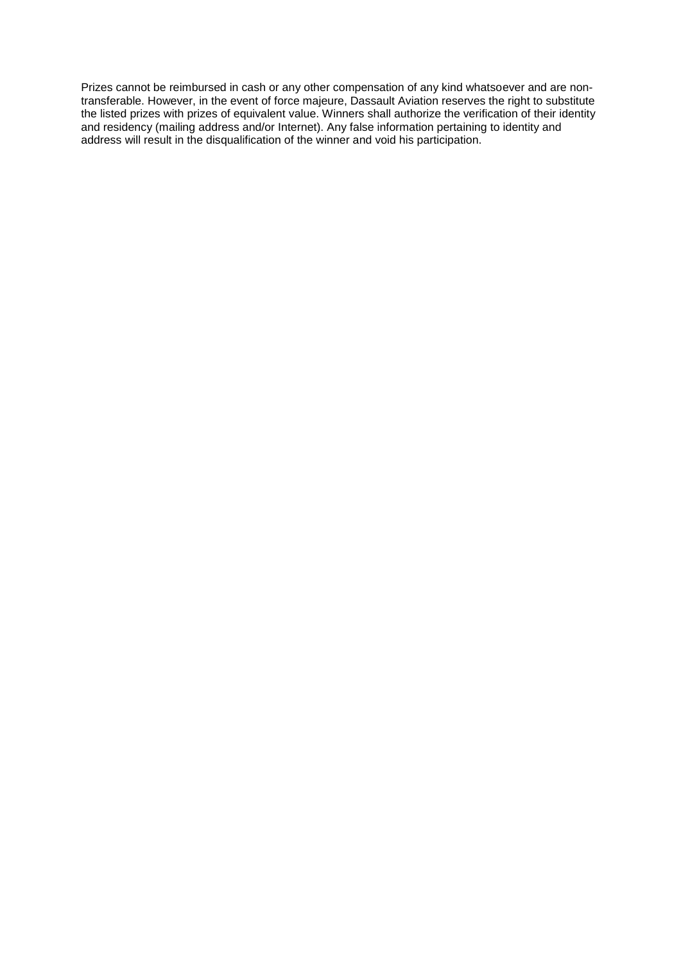Prizes cannot be reimbursed in cash or any other compensation of any kind whatsoever and are nontransferable. However, in the event of force majeure, Dassault Aviation reserves the right to substitute the listed prizes with prizes of equivalent value. Winners shall authorize the verification of their identity and residency (mailing address and/or Internet). Any false information pertaining to identity and address will result in the disqualification of the winner and void his participation.